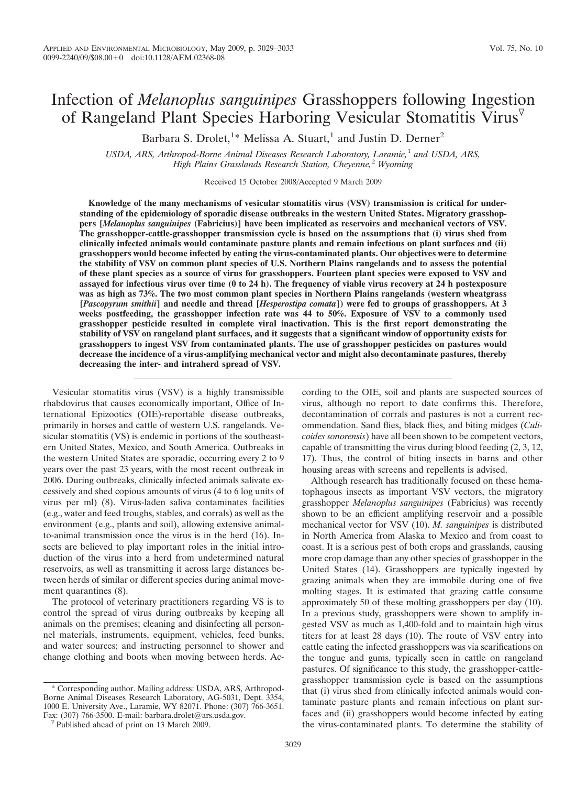# Infection of *Melanoplus sanguinipes* Grasshoppers following Ingestion of Rangeland Plant Species Harboring Vesicular Stomatitis Virus

Barbara S. Drolet,<sup>1\*</sup> Melissa A. Stuart,<sup>1</sup> and Justin D. Derner<sup>2</sup>

*USDA, ARS, Arthropod-Borne Animal Diseases Research Laboratory, Laramie,*<sup>1</sup> *and USDA, ARS, High Plains Grasslands Research Station, Cheyenne,*<sup>2</sup> *Wyoming*

Received 15 October 2008/Accepted 9 March 2009

**Knowledge of the many mechanisms of vesicular stomatitis virus (VSV) transmission is critical for understanding of the epidemiology of sporadic disease outbreaks in the western United States. Migratory grasshoppers [***Melanoplus sanguinipes* **(Fabricius)] have been implicated as reservoirs and mechanical vectors of VSV. The grasshopper-cattle-grasshopper transmission cycle is based on the assumptions that (i) virus shed from clinically infected animals would contaminate pasture plants and remain infectious on plant surfaces and (ii) grasshoppers would become infected by eating the virus-contaminated plants. Our objectives were to determine the stability of VSV on common plant species of U.S. Northern Plains rangelands and to assess the potential of these plant species as a source of virus for grasshoppers. Fourteen plant species were exposed to VSV and assayed for infectious virus over time (0 to 24 h). The frequency of viable virus recovery at 24 h postexposure was as high as 73%. The two most common plant species in Northern Plains rangelands (western wheatgrass [***Pascopyrum smithii***] and needle and thread [***Hesperostipa comata***]) were fed to groups of grasshoppers. At 3 weeks postfeeding, the grasshopper infection rate was 44 to 50%. Exposure of VSV to a commonly used grasshopper pesticide resulted in complete viral inactivation. This is the first report demonstrating the stability of VSV on rangeland plant surfaces, and it suggests that a significant window of opportunity exists for grasshoppers to ingest VSV from contaminated plants. The use of grasshopper pesticides on pastures would decrease the incidence of a virus-amplifying mechanical vector and might also decontaminate pastures, thereby decreasing the inter- and intraherd spread of VSV.**

Vesicular stomatitis virus (VSV) is a highly transmissible rhabdovirus that causes economically important, Office of International Epizootics (OIE)-reportable disease outbreaks, primarily in horses and cattle of western U.S. rangelands. Vesicular stomatitis (VS) is endemic in portions of the southeastern United States, Mexico, and South America. Outbreaks in the western United States are sporadic, occurring every 2 to 9 years over the past 23 years, with the most recent outbreak in 2006. During outbreaks, clinically infected animals salivate excessively and shed copious amounts of virus (4 to 6 log units of virus per ml) (8). Virus-laden saliva contaminates facilities (e.g., water and feed troughs, stables, and corrals) as well as the environment (e.g., plants and soil), allowing extensive animalto-animal transmission once the virus is in the herd (16). Insects are believed to play important roles in the initial introduction of the virus into a herd from undetermined natural reservoirs, as well as transmitting it across large distances between herds of similar or different species during animal movement quarantines (8).

The protocol of veterinary practitioners regarding VS is to control the spread of virus during outbreaks by keeping all animals on the premises; cleaning and disinfecting all personnel materials, instruments, equipment, vehicles, feed bunks, and water sources; and instructing personnel to shower and change clothing and boots when moving between herds. Ac-

\* Corresponding author. Mailing address: USDA, ARS, Arthropod-Borne Animal Diseases Research Laboratory, AG-5031, Dept. 3354, 1000 E. University Ave., Laramie, WY 82071. Phone: (307) 766-3651. Fax: (307) 766-3500. E-mail: barbara.drolet@ars.usda.gov. Published ahead of print on 13 March 2009.

cording to the OIE, soil and plants are suspected sources of virus, although no report to date confirms this. Therefore, decontamination of corrals and pastures is not a current recommendation. Sand flies, black flies, and biting midges (*Culicoides sonorensis*) have all been shown to be competent vectors, capable of transmitting the virus during blood feeding (2, 3, 12, 17). Thus, the control of biting insects in barns and other housing areas with screens and repellents is advised.

Although research has traditionally focused on these hematophagous insects as important VSV vectors, the migratory grasshopper *Melanoplus sanguinipes* (Fabricius) was recently shown to be an efficient amplifying reservoir and a possible mechanical vector for VSV (10). *M. sanguinipes* is distributed in North America from Alaska to Mexico and from coast to coast. It is a serious pest of both crops and grasslands, causing more crop damage than any other species of grasshopper in the United States (14). Grasshoppers are typically ingested by grazing animals when they are immobile during one of five molting stages. It is estimated that grazing cattle consume approximately 50 of these molting grasshoppers per day (10). In a previous study, grasshoppers were shown to amplify ingested VSV as much as 1,400-fold and to maintain high virus titers for at least 28 days (10). The route of VSV entry into cattle eating the infected grasshoppers was via scarifications on the tongue and gums, typically seen in cattle on rangeland pastures. Of significance to this study, the grasshopper-cattlegrasshopper transmission cycle is based on the assumptions that (i) virus shed from clinically infected animals would contaminate pasture plants and remain infectious on plant surfaces and (ii) grasshoppers would become infected by eating the virus-contaminated plants. To determine the stability of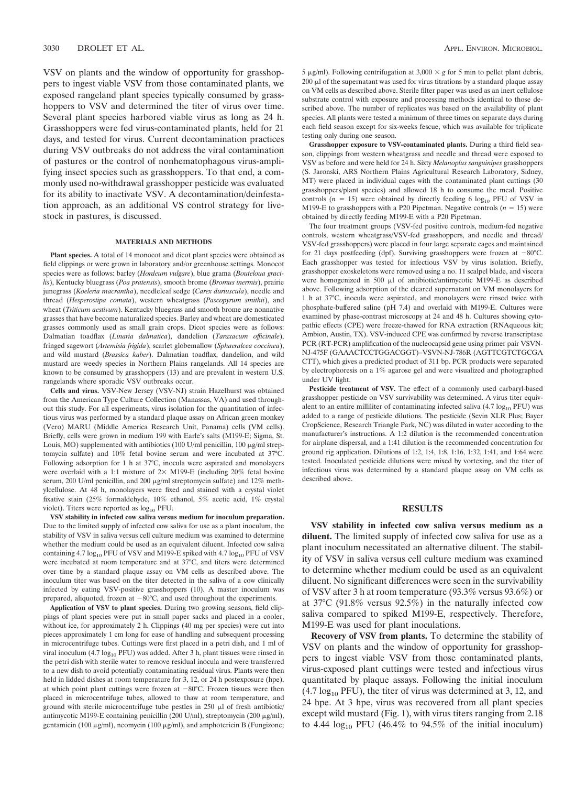VSV on plants and the window of opportunity for grasshoppers to ingest viable VSV from those contaminated plants, we exposed rangeland plant species typically consumed by grasshoppers to VSV and determined the titer of virus over time. Several plant species harbored viable virus as long as 24 h. Grasshoppers were fed virus-contaminated plants, held for 21 days, and tested for virus. Current decontamination practices during VSV outbreaks do not address the viral contamination of pastures or the control of nonhematophagous virus-amplifying insect species such as grasshoppers. To that end, a commonly used no-withdrawal grasshopper pesticide was evaluated for its ability to inactivate VSV. A decontamination/deinfestation approach, as an additional VS control strategy for livestock in pastures, is discussed.

### **MATERIALS AND METHODS**

Plant species. A total of 14 monocot and dicot plant species were obtained as field clippings or were grown in laboratory and/or greenhouse settings. Monocot species were as follows: barley (*Hordeum vulgare*), blue grama (*Bouteloua gracilis*), Kentucky bluegrass (*Poa pratensis*), smooth brome (*Bromus inermis*), prairie junegrass (*Koeleria macrantha*), needleleaf sedge (*Carex duriuscula*), needle and thread (*Hesperostipa comata*), western wheatgrass (*Pascopyrum smithii*), and wheat (*Triticum aestivum*). Kentucky bluegrass and smooth brome are nonnative grasses that have become naturalized species. Barley and wheat are domesticated grasses commonly used as small grain crops. Dicot species were as follows: Dalmatian toadflax (*Linaria dalmatica*), dandelion (*Taraxacum officinale*), fringed sagewort (*Artemisia frigida*), scarlet globemallow (*Sphaeralcea coccinea*), and wild mustard (*Brassica kaber*). Dalmatian toadflax, dandelion, and wild mustard are weedy species in Northern Plains rangelands. All 14 species are known to be consumed by grasshoppers (13) and are prevalent in western U.S. rangelands where sporadic VSV outbreaks occur.

**Cells and virus.** VSV-New Jersey (VSV-NJ) strain Hazelhurst was obtained from the American Type Culture Collection (Manassas, VA) and used throughout this study. For all experiments, virus isolation for the quantitation of infectious virus was performed by a standard plaque assay on African green monkey (Vero) MARU (Middle America Research Unit, Panama) cells (VM cells). Briefly, cells were grown in medium 199 with Earle's salts (M199-E; Sigma, St. Louis, MO) supplemented with antibiotics  $(100 \text{ U/ml penicillin}, 100 \mu\text{g/ml strep}$ tomycin sulfate) and 10% fetal bovine serum and were incubated at 37°C. Following adsorption for 1 h at 37°C, inocula were aspirated and monolayers were overlaid with a 1:1 mixture of  $2 \times M199-E$  (including 20% fetal bovine serum, 200 U/ml penicillin, and 200  $\mu$ g/ml streptomycin sulfate) and 12% methylcellulose. At 48 h, monolayers were fixed and stained with a crystal violet fixative stain (25% formaldehyde, 10% ethanol, 5% acetic acid, 1% crystal violet). Titers were reported as  $log_{10}$  PFU.

**VSV stability in infected cow saliva versus medium for inoculum preparation.** Due to the limited supply of infected cow saliva for use as a plant inoculum, the stability of VSV in saliva versus cell culture medium was examined to determine whether the medium could be used as an equivalent diluent. Infected cow saliva containing 4.7  $log_{10}$  PFU of VSV and M199-E spiked with 4.7  $log_{10}$  PFU of VSV were incubated at room temperature and at 37°C, and titers were determined over time by a standard plaque assay on VM cells as described above. The inoculum titer was based on the titer detected in the saliva of a cow clinically infected by eating VSV-positive grasshoppers (10). A master inoculum was prepared, aliquoted, frozen at  $-80^{\circ}$ C, and used throughout the experiments.

**Application of VSV to plant species.** During two growing seasons, field clippings of plant species were put in small paper sacks and placed in a cooler, without ice, for approximately 2 h. Clippings (40 mg per species) were cut into pieces approximately 1 cm long for ease of handling and subsequent processing in microcentrifuge tubes. Cuttings were first placed in a petri dish, and 1 ml of viral inoculum (4.7  $log_{10}$  PFU) was added. After 3 h, plant tissues were rinsed in the petri dish with sterile water to remove residual inocula and were transferred to a new dish to avoid potentially contaminating residual virus. Plants were then held in lidded dishes at room temperature for 3, 12, or 24 h postexposure (hpe), at which point plant cuttings were frozen at  $-80^{\circ}$ C. Frozen tissues were then placed in microcentrifuge tubes, allowed to thaw at room temperature, and ground with sterile microcentrifuge tube pestles in  $250 \mu l$  of fresh antibiotic/ antimycotic M199-E containing penicillin (200 U/ml), streptomycin (200 µg/ml), gentamicin (100 μg/ml), neomycin (100 μg/ml), and amphotericin B (Fungizone;

5  $\mu$ g/ml). Following centrifugation at 3,000  $\times$  g for 5 min to pellet plant debris,  $200 \mu$ l of the supernatant was used for virus titrations by a standard plaque assay on VM cells as described above. Sterile filter paper was used as an inert cellulose substrate control with exposure and processing methods identical to those described above. The number of replicates was based on the availability of plant species. All plants were tested a minimum of three times on separate days during each field season except for six-weeks fescue, which was available for triplicate testing only during one season.

**Grasshopper exposure to VSV-contaminated plants.** During a third field season, clippings from western wheatgrass and needle and thread were exposed to VSV as before and were held for 24 h. Sixty *Melanoplus sanguinipes* grasshoppers (S. Jaronski, ARS Northern Plains Agricultural Research Laboratory, Sidney, MT) were placed in individual cages with the contaminated plant cuttings (30 grasshoppers/plant species) and allowed 18 h to consume the meal. Positive controls ( $n = 15$ ) were obtained by directly feeding 6  $log_{10}$  PFU of VSV in M199-E to grasshoppers with a P20 Pipetman. Negative controls  $(n = 15)$  were obtained by directly feeding M199-E with a P20 Pipetman.

The four treatment groups (VSV-fed positive controls, medium-fed negative controls, western wheatgrass/VSV-fed grasshoppers, and needle and thread/ VSV-fed grasshoppers) were placed in four large separate cages and maintained for 21 days postfeeding (dpf). Surviving grasshoppers were frozen at  $-80^{\circ}$ C. Each grasshopper was tested for infectious VSV by virus isolation. Briefly, grasshopper exoskeletons were removed using a no. 11 scalpel blade, and viscera were homogenized in 500  $\mu$ l of antibiotic/antimycotic M199-E as described above. Following adsorption of the cleared supernatant on VM monolayers for 1 h at 37°C, inocula were aspirated, and monolayers were rinsed twice with phosphate-buffered saline ( $p\overline{H}$  7.4) and overlaid with M199-E. Cultures were examined by phase-contrast microscopy at 24 and 48 h. Cultures showing cytopathic effects (CPE) were freeze-thawed for RNA extraction (RNAqueous kit; Ambion, Austin, TX). VSV-induced CPE was confirmed by reverse transcriptase PCR (RT-PCR) amplification of the nucleocapsid gene using primer pair VSVN-NJ-475F (GAAACTCCTGGACGGT)–VSVN-NJ-786R (AGTTCGTCTGCGA CTT), which gives a predicted product of 311 bp. PCR products were separated by electrophoresis on a 1% agarose gel and were visualized and photographed under UV light.

Pesticide treatment of VSV. The effect of a commonly used carbaryl-based grasshopper pesticide on VSV survivability was determined. A virus titer equivalent to an entire milliliter of contaminating infected saliva  $(4.7 \log_{10} PFU)$  was added to a range of pesticide dilutions. The pesticide (Sevin XLR Plus; Bayer CropScience, Research Triangle Park, NC) was diluted in water according to the manufacturer's instructions. A 1:2 dilution is the recommended concentration for airplane dispersal, and a 1:41 dilution is the recommended concentration for ground rig application. Dilutions of 1:2, 1:4, 1:8, 1:16, 1:32, 1:41, and 1:64 were tested. Inoculated pesticide dilutions were mixed by vortexing, and the titer of infectious virus was determined by a standard plaque assay on VM cells as described above.

# **RESULTS**

**VSV stability in infected cow saliva versus medium as a diluent.** The limited supply of infected cow saliva for use as a plant inoculum necessitated an alternative diluent. The stability of VSV in saliva versus cell culture medium was examined to determine whether medium could be used as an equivalent diluent. No significant differences were seen in the survivability of VSV after 3 h at room temperature (93.3% versus 93.6%) or at 37°C (91.8% versus 92.5%) in the naturally infected cow saliva compared to spiked M199-E, respectively. Therefore, M199-E was used for plant inoculations.

**Recovery of VSV from plants.** To determine the stability of VSV on plants and the window of opportunity for grasshoppers to ingest viable VSV from those contaminated plants, virus-exposed plant cuttings were tested and infectious virus quantitated by plaque assays. Following the initial inoculum  $(4.7 \log_{10} PFU)$ , the titer of virus was determined at 3, 12, and 24 hpe. At 3 hpe, virus was recovered from all plant species except wild mustard (Fig. 1), with virus titers ranging from 2.18 to 4.44  $log_{10}$  PFU (46.4% to 94.5% of the initial inoculum)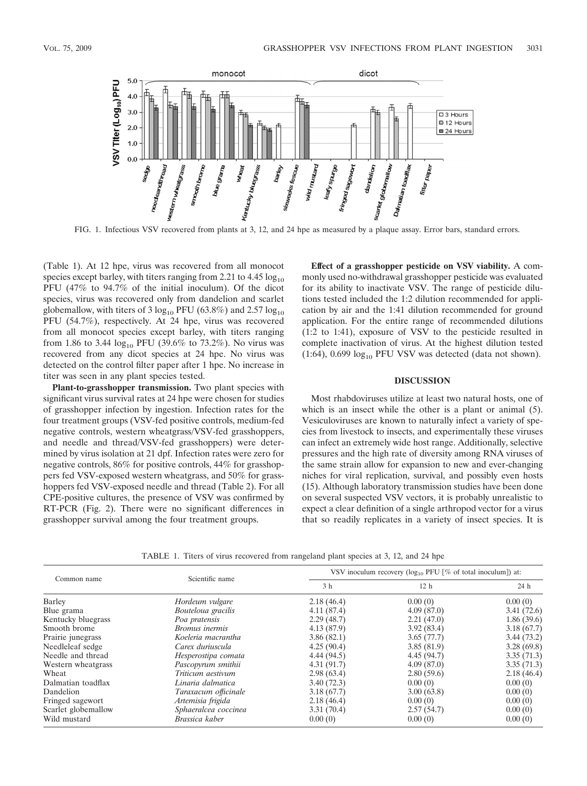

(Table 1). At 12 hpe, virus was recovered from all monocot species except barley, with titers ranging from 2.21 to  $4.45 \log_{10}$ PFU (47% to 94.7% of the initial inoculum). Of the dicot species, virus was recovered only from dandelion and scarlet globemallow, with titers of 3  $log_{10}$  PFU (63.8%) and 2.57  $log_{10}$ PFU (54.7%), respectively. At 24 hpe, virus was recovered from all monocot species except barley, with titers ranging from 1.86 to 3.44  $log_{10}$  PFU (39.6% to 73.2%). No virus was recovered from any dicot species at 24 hpe. No virus was detected on the control filter paper after 1 hpe. No increase in titer was seen in any plant species tested.

**Plant-to-grasshopper transmission.** Two plant species with significant virus survival rates at 24 hpe were chosen for studies of grasshopper infection by ingestion. Infection rates for the four treatment groups (VSV-fed positive controls, medium-fed negative controls, western wheatgrass/VSV-fed grasshoppers, and needle and thread/VSV-fed grasshoppers) were determined by virus isolation at 21 dpf. Infection rates were zero for negative controls, 86% for positive controls, 44% for grasshoppers fed VSV-exposed western wheatgrass, and 50% for grasshoppers fed VSV-exposed needle and thread (Table 2). For all CPE-positive cultures, the presence of VSV was confirmed by RT-PCR (Fig. 2). There were no significant differences in grasshopper survival among the four treatment groups.

**Effect of a grasshopper pesticide on VSV viability.** A commonly used no-withdrawal grasshopper pesticide was evaluated for its ability to inactivate VSV. The range of pesticide dilutions tested included the 1:2 dilution recommended for application by air and the 1:41 dilution recommended for ground application. For the entire range of recommended dilutions (1:2 to 1:41), exposure of VSV to the pesticide resulted in complete inactivation of virus. At the highest dilution tested (1:64),  $0.699 \log_{10}$  PFU VSV was detected (data not shown).

## **DISCUSSION**

Most rhabdoviruses utilize at least two natural hosts, one of which is an insect while the other is a plant or animal  $(5)$ . Vesiculoviruses are known to naturally infect a variety of species from livestock to insects, and experimentally these viruses can infect an extremely wide host range. Additionally, selective pressures and the high rate of diversity among RNA viruses of the same strain allow for expansion to new and ever-changing niches for viral replication, survival, and possibly even hosts (15). Although laboratory transmission studies have been done on several suspected VSV vectors, it is probably unrealistic to expect a clear definition of a single arthropod vector for a virus that so readily replicates in a variety of insect species. It is

TABLE 1. Titers of virus recovered from rangeland plant species at 3, 12, and 24 hpe

| Common name         | Scientific name      | VSV inoculum recovery ( $log_{10}$ PFU [% of total inoculum]) at: |                 |            |
|---------------------|----------------------|-------------------------------------------------------------------|-----------------|------------|
|                     |                      | 3 <sub>h</sub>                                                    | 12 <sub>h</sub> | 24 h       |
| Barley              | Hordeum vulgare      | 2.18(46.4)                                                        | 0.00(0)         | 0.00(0)    |
| Blue grama          | Bouteloua gracilis   | 4.11(87.4)                                                        | 4.09(87.0)      | 3.41(72.6) |
| Kentucky bluegrass  | Poa pratensis        | 2.29(48.7)                                                        | 2.21(47.0)      | 1.86(39.6) |
| Smooth brome        | Bromus inermis       | 4.13(87.9)                                                        | 3.92(83.4)      | 3.18(67.7) |
| Prairie junegrass   | Koeleria macrantha   | 3.86(82.1)                                                        | 3.65(77.7)      | 3.44(73.2) |
| Needleleaf sedge    | Carex duriuscula     | 4.25(90.4)                                                        | 3.85(81.9)      | 3.28(69.8) |
| Needle and thread   | Hesperostipa comata  | 4.44(94.5)                                                        | 4.45(94.7)      | 3.35(71.3) |
| Western wheatgrass  | Pascopyrum smithii   | 4.31(91.7)                                                        | 4.09(87.0)      | 3.35(71.3) |
| Wheat               | Triticum aestivum    | 2.98(63.4)                                                        | 2.80(59.6)      | 2.18(46.4) |
| Dalmatian toadflax  | Linaria dalmatica    | 3.40(72.3)                                                        | 0.00(0)         | 0.00(0)    |
| Dandelion           | Taraxacum officinale | 3.18(67.7)                                                        | 3.00(63.8)      | 0.00(0)    |
| Fringed sagewort    | Artemisia frigida    | 2.18(46.4)                                                        | 0.00(0)         | 0.00(0)    |
| Scarlet globemallow | Sphaeralcea coccinea | 3.31(70.4)                                                        | 2.57(54.7)      | 0.00(0)    |
| Wild mustard        | Brassica kaber       | 0.00(0)                                                           | 0.00(0)         | 0.00(0)    |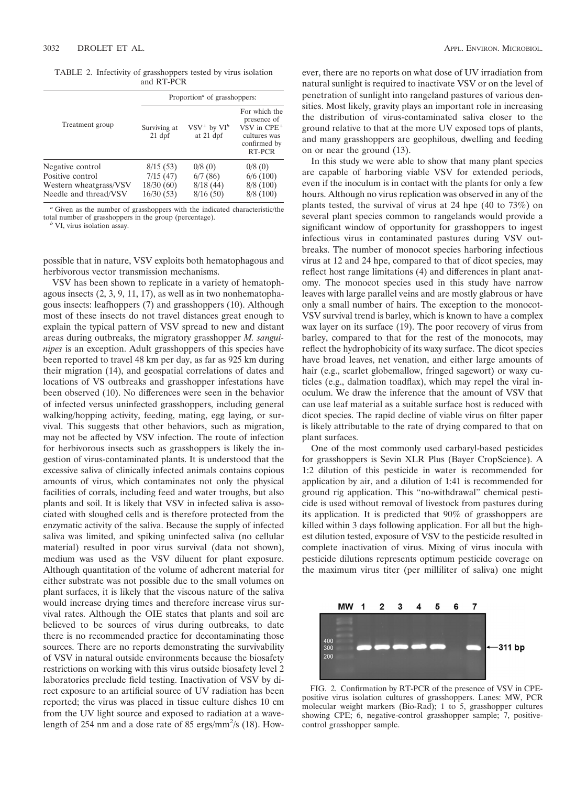TABLE 2. Infectivity of grasshoppers tested by virus isolation and RT-PCR

|                        | Proportion <sup><i>a</i></sup> of grasshoppers: |                                  |                                                                                           |  |
|------------------------|-------------------------------------------------|----------------------------------|-------------------------------------------------------------------------------------------|--|
| Treatment group        | Surviving at<br>$21$ dpf                        | $VSV^+$ by $VI^b$<br>at $21$ dpf | For which the<br>presence of<br>$VSV$ in $CPE+$<br>cultures was<br>confirmed by<br>RT-PCR |  |
| Negative control       | 8/15(53)                                        | 0/8(0)                           | 0/8(0)                                                                                    |  |
| Positive control       | 7/15(47)                                        | 6/7(86)                          | 6/6(100)                                                                                  |  |
| Western wheatgrass/VSV | 18/30(60)                                       | 8/18(44)                         | 8/8(100)                                                                                  |  |
| Needle and thread/VSV  | 16/30(53)                                       | 8/16(50)                         | 8/8(100)                                                                                  |  |

*<sup>a</sup>* Given as the number of grasshoppers with the indicated characteristic/the total number of grasshoppers in the group (percentage). *<sup>b</sup>* VI, virus isolation assay.

possible that in nature, VSV exploits both hematophagous and herbivorous vector transmission mechanisms.

VSV has been shown to replicate in a variety of hematophagous insects (2, 3, 9, 11, 17), as well as in two nonhematophagous insects: leafhoppers (7) and grasshoppers (10). Although most of these insects do not travel distances great enough to explain the typical pattern of VSV spread to new and distant areas during outbreaks, the migratory grasshopper *M. sanguinipes* is an exception. Adult grasshoppers of this species have been reported to travel 48 km per day, as far as 925 km during their migration (14), and geospatial correlations of dates and locations of VS outbreaks and grasshopper infestations have been observed (10). No differences were seen in the behavior of infected versus uninfected grasshoppers, including general walking/hopping activity, feeding, mating, egg laying, or survival. This suggests that other behaviors, such as migration, may not be affected by VSV infection. The route of infection for herbivorous insects such as grasshoppers is likely the ingestion of virus-contaminated plants. It is understood that the excessive saliva of clinically infected animals contains copious amounts of virus, which contaminates not only the physical facilities of corrals, including feed and water troughs, but also plants and soil. It is likely that VSV in infected saliva is associated with sloughed cells and is therefore protected from the enzymatic activity of the saliva. Because the supply of infected saliva was limited, and spiking uninfected saliva (no cellular material) resulted in poor virus survival (data not shown), medium was used as the VSV diluent for plant exposure. Although quantitation of the volume of adherent material for either substrate was not possible due to the small volumes on plant surfaces, it is likely that the viscous nature of the saliva would increase drying times and therefore increase virus survival rates. Although the OIE states that plants and soil are believed to be sources of virus during outbreaks, to date there is no recommended practice for decontaminating those sources. There are no reports demonstrating the survivability of VSV in natural outside environments because the biosafety restrictions on working with this virus outside biosafety level 2 laboratories preclude field testing. Inactivation of VSV by direct exposure to an artificial source of UV radiation has been reported; the virus was placed in tissue culture dishes 10 cm from the UV light source and exposed to radiation at a wavelength of 254 nm and a dose rate of 85 ergs/mm<sup>2</sup>/s (18). However, there are no reports on what dose of UV irradiation from natural sunlight is required to inactivate VSV or on the level of penetration of sunlight into rangeland pastures of various densities. Most likely, gravity plays an important role in increasing the distribution of virus-contaminated saliva closer to the ground relative to that at the more UV exposed tops of plants, and many grasshoppers are geophilous, dwelling and feeding on or near the ground (13).

In this study we were able to show that many plant species are capable of harboring viable VSV for extended periods, even if the inoculum is in contact with the plants for only a few hours. Although no virus replication was observed in any of the plants tested, the survival of virus at 24 hpe (40 to 73%) on several plant species common to rangelands would provide a significant window of opportunity for grasshoppers to ingest infectious virus in contaminated pastures during VSV outbreaks. The number of monocot species harboring infectious virus at 12 and 24 hpe, compared to that of dicot species, may reflect host range limitations (4) and differences in plant anatomy. The monocot species used in this study have narrow leaves with large parallel veins and are mostly glabrous or have only a small number of hairs. The exception to the monocot-VSV survival trend is barley, which is known to have a complex wax layer on its surface (19). The poor recovery of virus from barley, compared to that for the rest of the monocots, may reflect the hydrophobicity of its waxy surface. The dicot species have broad leaves, net venation, and either large amounts of hair (e.g., scarlet globemallow, fringed sagewort) or waxy cuticles (e.g., dalmation toadflax), which may repel the viral inoculum. We draw the inference that the amount of VSV that can use leaf material as a suitable surface host is reduced with dicot species. The rapid decline of viable virus on filter paper is likely attributable to the rate of drying compared to that on plant surfaces.

One of the most commonly used carbaryl-based pesticides for grasshoppers is Sevin XLR Plus (Bayer CropScience). A 1:2 dilution of this pesticide in water is recommended for application by air, and a dilution of 1:41 is recommended for ground rig application. This "no-withdrawal" chemical pesticide is used without removal of livestock from pastures during its application. It is predicted that 90% of grasshoppers are killed within 3 days following application. For all but the highest dilution tested, exposure of VSV to the pesticide resulted in complete inactivation of virus. Mixing of virus inocula with pesticide dilutions represents optimum pesticide coverage on the maximum virus titer (per milliliter of saliva) one might



FIG. 2. Confirmation by RT-PCR of the presence of VSV in CPEpositive virus isolation cultures of grasshoppers. Lanes: MW, PCR molecular weight markers (Bio-Rad); 1 to 5, grasshopper cultures showing CPE; 6, negative-control grasshopper sample; 7, positivecontrol grasshopper sample.